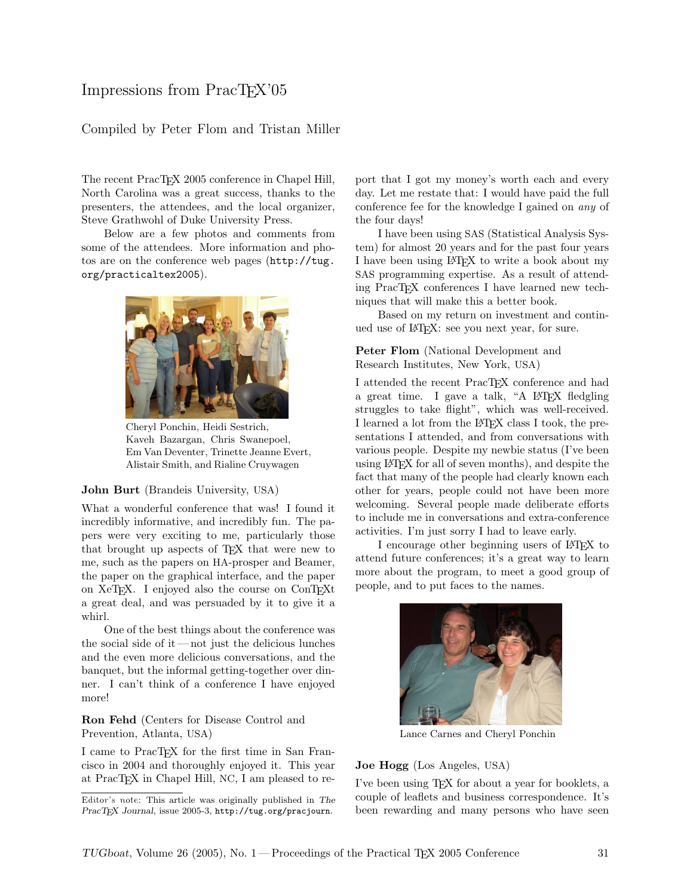# Impressions from PracT<sub>EX</sub>'05

# Compiled by Peter Flom and Tristan Miller

The recent PracTEX 2005 conference in Chapel Hill, North Carolina was a great success, thanks to the presenters, the attendees, and the local organizer, Steve Grathwohl of Duke University Press.

Below are a few photos and comments from some of the attendees. More information and photos are on the conference web pages ([http://tug.](http://tug.org/practicaltex2005) [org/practicaltex2005](http://tug.org/practicaltex2005)).



Cheryl Ponchin, Heidi Sestrich, Kaveh Bazargan, Chris Swanepoel, Em Van Deventer, Trinette Jeanne Evert, Alistair Smith, and Rialine Cruywagen

#### John Burt (Brandeis University, USA)

What a wonderful conference that was! I found it incredibly informative, and incredibly fun. The papers were very exciting to me, particularly those that brought up aspects of TEX that were new to me, such as the papers on HA-prosper and Beamer, the paper on the graphical interface, and the paper on XeTEX. I enjoyed also the course on ConTEXt a great deal, and was persuaded by it to give it a whirl.

One of the best things about the conference was the social side of it — not just the delicious lunches and the even more delicious conversations, and the banquet, but the informal getting-together over dinner. I can't think of a conference I have enjoyed more!

Ron Fehd (Centers for Disease Control and Prevention, Atlanta, USA)

I came to PracTEX for the first time in San Francisco in 2004 and thoroughly enjoyed it. This year at PracT<sub>E</sub>X in Chapel Hill, NC, I am pleased to report that I got my money's worth each and every day. Let me restate that: I would have paid the full conference fee for the knowledge I gained on any of the four days!

I have been using SAS (Statistical Analysis System) for almost 20 years and for the past four years I have been using LATEX to write a book about my SAS programming expertise. As a result of attending PracT<sub>EX</sub> conferences I have learned new techniques that will make this a better book.

Based on my return on investment and continued use of LAT<sub>F</sub>X: see you next year, for sure.

## Peter Flom (National Development and Research Institutes, New York, USA)

I attended the recent PracTEX conference and had a great time. I gave a talk, "A LAT<sub>EX</sub> fledgling struggles to take flight", which was well-received. I learned a lot from the LATEX class I took, the presentations I attended, and from conversations with various people. Despite my newbie status (I've been using LATEX for all of seven months), and despite the fact that many of the people had clearly known each other for years, people could not have been more welcoming. Several people made deliberate efforts to include me in conversations and extra-conference activities. I'm just sorry I had to leave early.

I encourage other beginning users of LAT<sub>EX</sub> to attend future conferences; it's a great way to learn more about the program, to meet a good group of people, and to put faces to the names.



Lance Carnes and Cheryl Ponchin

## Joe Hogg (Los Angeles, USA)

I've been using TEX for about a year for booklets, a couple of leaflets and business correspondence. It's been rewarding and many persons who have seen

Editor's note: This article was originally published in The PracTEX Journal, issue 2005-3, http://tug.org/pracjourn.